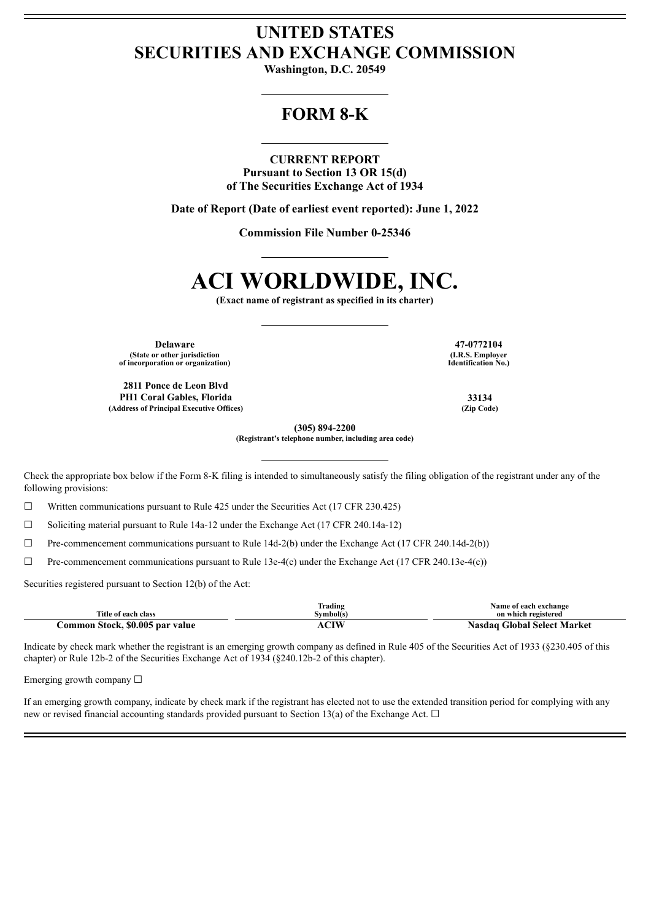## **UNITED STATES SECURITIES AND EXCHANGE COMMISSION**

**Washington, D.C. 20549**

## **FORM 8-K**

### **CURRENT REPORT**

**Pursuant to Section 13 OR 15(d) of The Securities Exchange Act of 1934**

**Date of Report (Date of earliest event reported): June 1, 2022**

**Commission File Number 0-25346**

# **ACI WORLDWIDE, INC.**

**(Exact name of registrant as specified in its charter)**

**Delaware 47-0772104 (State or other jurisdiction of incorporation or organization)**

**2811 Ponce de Leon Blvd PH1 Coral Gables, Florida 33134 (Address of Principal Executive Offices) (Zip Code)**

**(I.R.S. Employer Identification No.)**

**(305) 894-2200**

**(Registrant's telephone number, including area code)**

Check the appropriate box below if the Form 8-K filing is intended to simultaneously satisfy the filing obligation of the registrant under any of the following provisions:

☐ Written communications pursuant to Rule 425 under the Securities Act (17 CFR 230.425)

 $\Box$  Soliciting material pursuant to Rule 14a-12 under the Exchange Act (17 CFR 240.14a-12)

☐ Pre-commencement communications pursuant to Rule 14d-2(b) under the Exchange Act (17 CFR 240.14d-2(b))

☐ Pre-commencement communications pursuant to Rule 13e-4(c) under the Exchange Act (17 CFR 240.13e-4(c))

Securities registered pursuant to Section 12(b) of the Act:

|                                 | Frading   | Name of each exchange       |
|---------------------------------|-----------|-----------------------------|
| Title of each class             | Svmbol(s` | on which registered         |
| Common Stock, \$0.005 par value |           | Nasdag Global Select Market |

Indicate by check mark whether the registrant is an emerging growth company as defined in Rule 405 of the Securities Act of 1933 (§230.405 of this chapter) or Rule 12b-2 of the Securities Exchange Act of 1934 (§240.12b-2 of this chapter).

Emerging growth company ☐

If an emerging growth company, indicate by check mark if the registrant has elected not to use the extended transition period for complying with any new or revised financial accounting standards provided pursuant to Section 13(a) of the Exchange Act.  $\Box$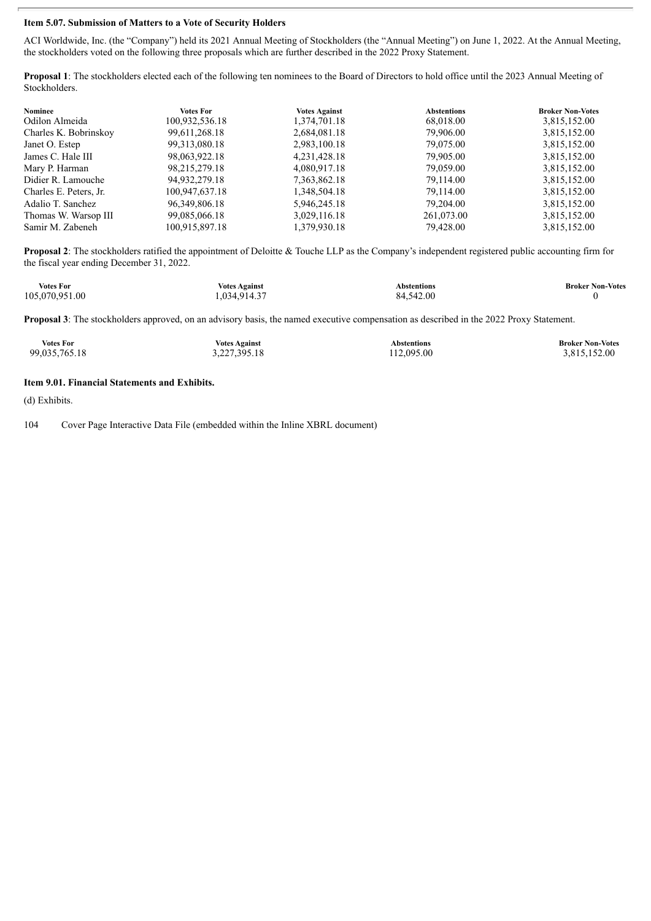### **Item 5.07. Submission of Matters to a Vote of Security Holders**

ACI Worldwide, Inc. (the "Company") held its 2021 Annual Meeting of Stockholders (the "Annual Meeting") on June 1, 2022. At the Annual Meeting, the stockholders voted on the following three proposals which are further described in the 2022 Proxy Statement.

**Proposal 1**: The stockholders elected each of the following ten nominees to the Board of Directors to hold office until the 2023 Annual Meeting of Stockholders.

| Nominee                | <b>Votes For</b> | <b>Votes Against</b> | <b>Abstentions</b> | <b>Broker Non-Votes</b> |
|------------------------|------------------|----------------------|--------------------|-------------------------|
| Odilon Almeida         | 100,932,536.18   | 1,374,701.18         | 68,018.00          | 3,815,152.00            |
| Charles K. Bobrinskov  | 99,611,268.18    | 2,684,081.18         | 79,906.00          | 3,815,152.00            |
| Janet O. Estep         | 99, 313, 080. 18 | 2,983,100.18         | 79,075.00          | 3,815,152.00            |
| James C. Hale III      | 98,063,922.18    | 4,231,428.18         | 79.905.00          | 3,815,152.00            |
| Mary P. Harman         | 98,215,279.18    | 4,080,917.18         | 79,059.00          | 3,815,152.00            |
| Didier R. Lamouche     | 94,932,279.18    | 7,363,862.18         | 79,114.00          | 3,815,152.00            |
| Charles E. Peters, Jr. | 100,947,637.18   | 1,348,504.18         | 79,114.00          | 3,815,152.00            |
| Adalio T. Sanchez      | 96, 349, 806. 18 | 5,946,245.18         | 79,204.00          | 3,815,152.00            |
| Thomas W. Warsop III   | 99,085,066.18    | 3,029,116.18         | 261,073.00         | 3,815,152.00            |
| Samir M. Zabeneh       | 100,915,897.18   | 1,379,930.18         | 79,428.00          | 3,815,152.00            |

**Proposal 2**: The stockholders ratified the appointment of Deloitte & Touche LLP as the Company's independent registered public accounting firm for the fiscal year ending December 31, 2022.

| <b>Votes For</b> | <b>Votes Against</b> | Abstentions | <b>Broker Non-Votes</b> |
|------------------|----------------------|-------------|-------------------------|
| 105,070,951.00   | .034.914.37          | 84.542.00   |                         |

**Proposal 3**: The stockholders approved, on an advisory basis, the named executive compensation as described in the 2022 Proxy Statement.

| <b>Votes For</b> | <b>Votes Against</b> | Abstentions | <b>Broker Non-Votes</b> |
|------------------|----------------------|-------------|-------------------------|
| 99,035,765.18    | 3,227,395.18         | 112.095.00  | 3,815,152.00            |

### **Item 9.01. Financial Statements and Exhibits.**

(d) Exhibits.

104 Cover Page Interactive Data File (embedded within the Inline XBRL document)